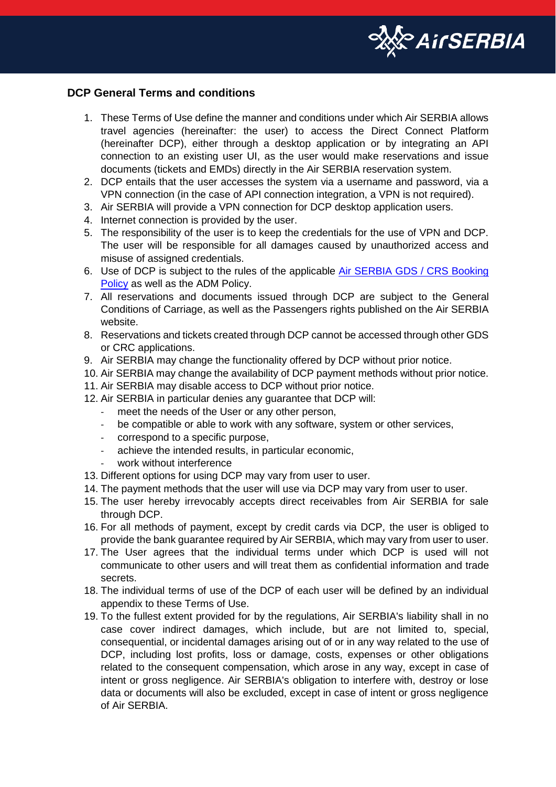

## **DCP General Terms and conditions**

- 1. These Terms of Use define the manner and conditions under which Air SERBIA allows travel agencies (hereinafter: the user) to access the Direct Connect Platform (hereinafter DCP), either through a desktop application or by integrating an API connection to an existing user UI, as the user would make reservations and issue documents (tickets and EMDs) directly in the Air SERBIA reservation system.
- 2. DCP entails that the user accesses the system via a username and password, via a VPN connection (in the case of API connection integration, a VPN is not required).
- 3. Air SERBIA will provide a VPN connection for DCP desktop application users.
- 4. Internet connection is provided by the user.
- 5. The responsibility of the user is to keep the credentials for the use of VPN and DCP. The user will be responsible for all damages caused by unauthorized access and misuse of assigned credentials.
- 6. Use of DCP is subject to the rules of the applicable [Air SERBIA GDS / CRS Booking](https://www.airserbia.com/en/footer_menu/corporate/travel-agents/gds-crs-booking-policy/introduction)  [Policy](https://www.airserbia.com/en/footer_menu/corporate/travel-agents/gds-crs-booking-policy/introduction) as well as the ADM Policy.
- 7. All reservations and documents issued through DCP are subject to the General Conditions of Carriage, as well as the Passengers rights published on the Air SERBIA website.
- 8. Reservations and tickets created through DCP cannot be accessed through other GDS or CRC applications.
- 9. Air SERBIA may change the functionality offered by DCP without prior notice.
- 10. Air SERBIA may change the availability of DCP payment methods without prior notice.
- 11. Air SERBIA may disable access to DCP without prior notice.
- 12. Air SERBIA in particular denies any guarantee that DCP will:
	- meet the needs of the User or any other person,
	- be compatible or able to work with any software, system or other services,
	- correspond to a specific purpose,
	- achieve the intended results, in particular economic,
	- work without interference
- 13. Different options for using DCP may vary from user to user.
- 14. The payment methods that the user will use via DCP may vary from user to user.
- 15. The user hereby irrevocably accepts direct receivables from Air SERBIA for sale through DCP.
- 16. For all methods of payment, except by credit cards via DCP, the user is obliged to provide the bank guarantee required by Air SERBIA, which may vary from user to user.
- 17. The User agrees that the individual terms under which DCP is used will not communicate to other users and will treat them as confidential information and trade secrets.
- 18. The individual terms of use of the DCP of each user will be defined by an individual appendix to these Terms of Use.
- 19. To the fullest extent provided for by the regulations, Air SERBIA's liability shall in no case cover indirect damages, which include, but are not limited to, special, consequential, or incidental damages arising out of or in any way related to the use of DCP, including lost profits, loss or damage, costs, expenses or other obligations related to the consequent compensation, which arose in any way, except in case of intent or gross negligence. Air SERBIA's obligation to interfere with, destroy or lose data or documents will also be excluded, except in case of intent or gross negligence of Air SERBIA.